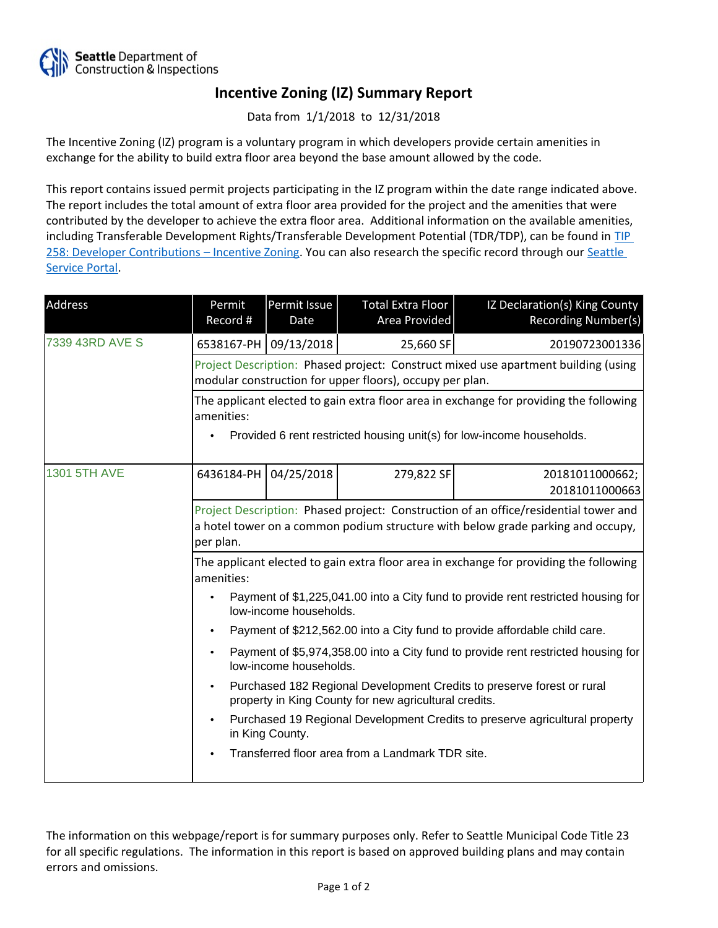

## **Incentive Zoning (IZ) Summary Report**

Data from 1/1/2018 to 12/31/2018

The Incentive Zoning (IZ) program is a voluntary program in which developers provide certain amenities in exchange for the ability to build extra floor area beyond the base amount allowed by the code.

This report contains issued permit projects participating in the IZ program within the date range indicated above. The report includes the total amount of extra floor area provided for the project and the amenities that were contributed by the developer to achieve the extra floor area. Additional information on the available amenities, including Transferable Development Rights/Transferable Development Potential (TDR/TDP), can be found in [TIP](http://www.seattle.gov/DPD/Publications/CAM/Tip258.pdf)  [258: Developer Contributions](http://www.seattle.gov/DPD/Publications/CAM/Tip258.pdf) [–](http://www.seattle.gov/DPD/Publications/CAM/Tip258.pdf) [Incentive Zoning.](http://www.seattle.gov/DPD/Publications/CAM/Tip258.pdf) You can also research the specific record through our [Seattle](https://cosaccela.seattle.gov/portal/welcome.aspx)  [Service Portal](https://cosaccela.seattle.gov/portal/welcome.aspx).

| Address         | Permit<br>Record #                                                                                                                                                                   | Permit Issue<br>Date | Total Extra Floor<br>Area Provided | IZ Declaration(s) King County<br>Recording Number(s) |  |  |
|-----------------|--------------------------------------------------------------------------------------------------------------------------------------------------------------------------------------|----------------------|------------------------------------|------------------------------------------------------|--|--|
| 7339 43RD AVE S | 6538167-PH                                                                                                                                                                           | 09/13/2018           | 25,660 SF                          | 20190723001336                                       |  |  |
|                 | Project Description: Phased project: Construct mixed use apartment building (using<br>modular construction for upper floors), occupy per plan.                                       |                      |                                    |                                                      |  |  |
|                 | The applicant elected to gain extra floor area in exchange for providing the following<br>amenities:                                                                                 |                      |                                    |                                                      |  |  |
|                 | Provided 6 rent restricted housing unit(s) for low-income households.                                                                                                                |                      |                                    |                                                      |  |  |
| 1301 5TH AVE    | 6436184-PH                                                                                                                                                                           | 04/25/2018           | 279,822 SF                         | 20181011000662;<br>20181011000663                    |  |  |
|                 | Project Description: Phased project: Construction of an office/residential tower and<br>a hotel tower on a common podium structure with below grade parking and occupy,<br>per plan. |                      |                                    |                                                      |  |  |
|                 | The applicant elected to gain extra floor area in exchange for providing the following<br>amenities:                                                                                 |                      |                                    |                                                      |  |  |
|                 | Payment of \$1,225,041.00 into a City fund to provide rent restricted housing for<br>low-income households.                                                                          |                      |                                    |                                                      |  |  |
|                 | Payment of \$212,562.00 into a City fund to provide affordable child care.                                                                                                           |                      |                                    |                                                      |  |  |
|                 | Payment of \$5,974,358.00 into a City fund to provide rent restricted housing for<br>low-income households.                                                                          |                      |                                    |                                                      |  |  |
|                 | Purchased 182 Regional Development Credits to preserve forest or rural<br>property in King County for new agricultural credits.                                                      |                      |                                    |                                                      |  |  |
|                 | Purchased 19 Regional Development Credits to preserve agricultural property<br>in King County.                                                                                       |                      |                                    |                                                      |  |  |
|                 | Transferred floor area from a Landmark TDR site.                                                                                                                                     |                      |                                    |                                                      |  |  |

The information on this webpage/report is for summary purposes only. Refer to Seattle Municipal Code Title 23 for all specific regulations. The information in this report is based on approved building plans and may contain errors and omissions.